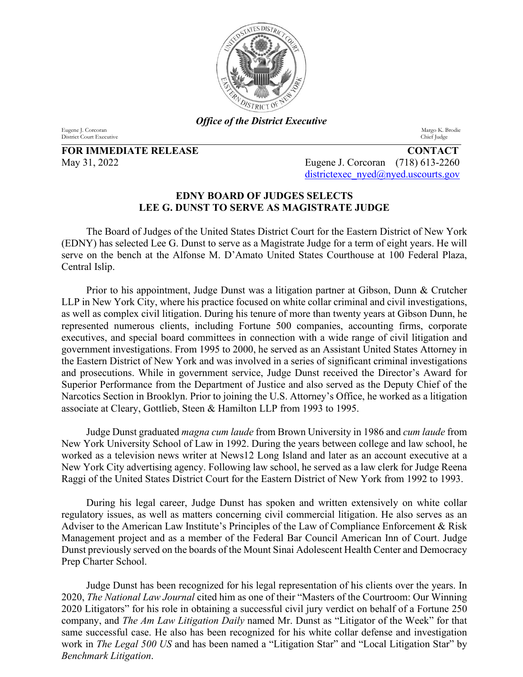

*Office of the District Executive*

Eugene J. Corcoran Margo K. Brodie District Court Executive Chief Judge District Court Executive Chief Judge District Court Executive District Court Executive

**FOR IMMEDIATE RELEASE CONTACT**

May 31, 2022 Eugene J. Corcoran (718) 613-2260 [districtexec\\_nyed@nyed.uscourts.gov](mailto:districtexec_nyed@nyed.uscourts.gov)

## **EDNY BOARD OF JUDGES SELECTS LEE G. DUNST TO SERVE AS MAGISTRATE JUDGE**

The Board of Judges of the United States District Court for the Eastern District of New York (EDNY) has selected Lee G. Dunst to serve as a Magistrate Judge for a term of eight years. He will serve on the bench at the Alfonse M. D'Amato United States Courthouse at 100 Federal Plaza, Central Islip.

Prior to his appointment, Judge Dunst was a litigation partner at Gibson, Dunn & Crutcher LLP in New York City, where his practice focused on white collar criminal and civil investigations, as well as complex civil litigation. During his tenure of more than twenty years at Gibson Dunn, he represented numerous clients, including Fortune 500 companies, accounting firms, corporate executives, and special board committees in connection with a wide range of civil litigation and government investigations. From 1995 to 2000, he served as an Assistant United States Attorney in the Eastern District of New York and was involved in a series of significant criminal investigations and prosecutions. While in government service, Judge Dunst received the Director's Award for Superior Performance from the Department of Justice and also served as the Deputy Chief of the Narcotics Section in Brooklyn. Prior to joining the U.S. Attorney's Office, he worked as a litigation associate at Cleary, Gottlieb, Steen & Hamilton LLP from 1993 to 1995.

Judge Dunst graduated *magna cum laude* from Brown University in 1986 and *cum laude* from New York University School of Law in 1992. During the years between college and law school, he worked as a television news writer at News12 Long Island and later as an account executive at a New York City advertising agency. Following law school, he served as a law clerk for Judge Reena Raggi of the United States District Court for the Eastern District of New York from 1992 to 1993.

During his legal career, Judge Dunst has spoken and written extensively on white collar regulatory issues, as well as matters concerning civil commercial litigation. He also serves as an Adviser to the American Law Institute's Principles of the Law of Compliance Enforcement & Risk Management project and as a member of the Federal Bar Council American Inn of Court. Judge Dunst previously served on the boards of the Mount Sinai Adolescent Health Center and Democracy Prep Charter School.

Judge Dunst has been recognized for his legal representation of his clients over the years. In 2020, *The National Law Journal* cited him as one of their "Masters of the Courtroom: Our Winning 2020 Litigators" for his role in obtaining a successful civil jury verdict on behalf of a Fortune 250 company, and *The Am Law Litigation Daily* named Mr. Dunst as "Litigator of the Week" for that same successful case. He also has been recognized for his white collar defense and investigation work in *The Legal 500 US* and has been named a "Litigation Star" and "Local Litigation Star" by *Benchmark Litigation*.